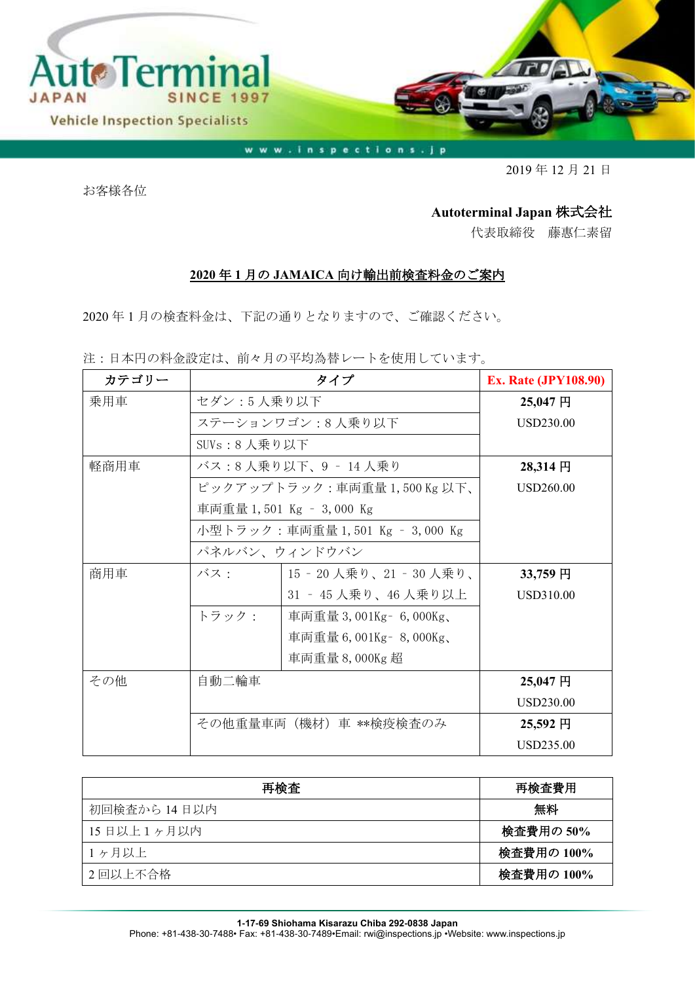

www.inspections.jp

2019 年 12 月 21 日

お客様各位

## **Autoterminal Japan** 株式会社

代表取締役 藤惠仁素留

## **2020** 年 **1** 月の **JAMAICA** 向け輸出前検査料金のご案内

2020 年 1 月の検査料金は、下記の通りとなりますので、ご確認ください。

注:日本円の料金設定は、前々月の平均為替レートを使用しています。

| カテゴリー |                                 | タイプ                       | <b>Ex. Rate (JPY108.90)</b> |
|-------|---------------------------------|---------------------------|-----------------------------|
| 乗用車   | セダン:5人乗り以下                      |                           | 25,047円                     |
|       |                                 | ステーションワゴン:8人乗り以下          | <b>USD230.00</b>            |
|       | SUV $s: 8$ 人乗り以下                |                           |                             |
| 軽商用車  | バス:8人乗り以下、9 - 14人乗り             |                           | 28,314 円                    |
|       |                                 | ピックアップトラック:車両重量1,500Kg以下、 | USD260.00                   |
|       |                                 | 車両重量 1,501 Kg - 3,000 Kg  |                             |
|       | 小型トラック:車両重量 1,501 Kg – 3,000 Kg |                           |                             |
|       | パネルバン、ウィンドウバン                   |                           |                             |
| 商用車   | バス:                             | 15‐20 人乗り、21‐30 人乗り、      | 33,759円                     |
|       |                                 | 31 ‐ 45 人乗り、46 人乗り以上      | USD310.00                   |
|       | トラック:                           | 車両重量 3,001Kg – 6,000Kg、   |                             |
|       |                                 | 車両重量 6,001Kg - 8,000Kg、   |                             |
|       |                                 | 車両重量 8,000Kg 超            |                             |
| その他   | 自動二輪車                           |                           | 25,047円                     |
|       |                                 |                           | <b>USD230.00</b>            |
|       | その他重量車両(機材)車 **検疫検査のみ           |                           | 25,592円                     |
|       |                                 |                           | <b>USD235.00</b>            |

| 再検査          | 再検査費用      |
|--------------|------------|
| 初回検査から 14日以内 | 無料         |
| 15日以上1ヶ月以内   | 検査費用の 50%  |
| 1ヶ月以上        | 検査費用の 100% |
| 2 回以上不合格     | 検査費用の 100% |